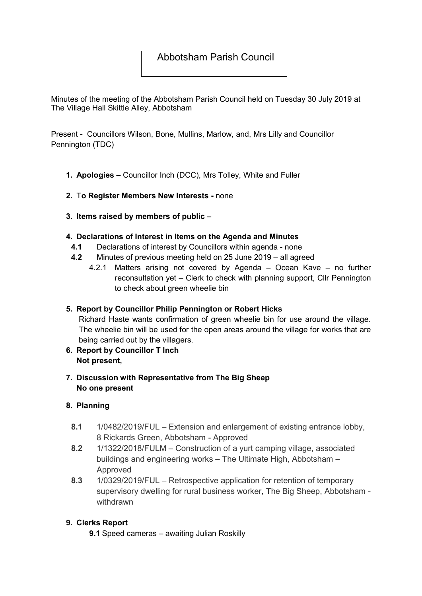# Abbotsham Parish Council

Minutes of the meeting of the Abbotsham Parish Council held on Tuesday 30 July 2019 at The Village Hall Skittle Alley, Abbotsham

Present - Councillors Wilson, Bone, Mullins, Marlow, and, Mrs Lilly and Councillor Pennington (TDC)

- 1. Apologies Councillor Inch (DCC), Mrs Tolley, White and Fuller
- 2. To Register Members New Interests none
- 3. Items raised by members of public –

### 4. Declarations of Interest in Items on the Agenda and Minutes

- 4.1 Declarations of interest by Councillors within agenda none
- 4.2 Minutes of previous meeting held on 25 June 2019 all agreed
	- 4.2.1 Matters arising not covered by Agenda Ocean Kave no further reconsultation yet – Clerk to check with planning support, Cllr Pennington to check about green wheelie bin

### 5. Report by Councillor Philip Pennington or Robert Hicks

Richard Haste wants confirmation of green wheelie bin for use around the village. The wheelie bin will be used for the open areas around the village for works that are being carried out by the villagers.

- 6. Report by Councillor T Inch Not present,
- 7. Discussion with Representative from The Big Sheep No one present

### 8. Planning

- 8.1 1/0482/2019/FUL Extension and enlargement of existing entrance lobby, 8 Rickards Green, Abbotsham - Approved
- 8.2 1/1322/2018/FULM Construction of a yurt camping village, associated buildings and engineering works – The Ultimate High, Abbotsham – Approved
- 8.3 1/0329/2019/FUL Retrospective application for retention of temporary supervisory dwelling for rural business worker, The Big Sheep, Abbotsham withdrawn

### 9. Clerks Report

9.1 Speed cameras – awaiting Julian Roskilly